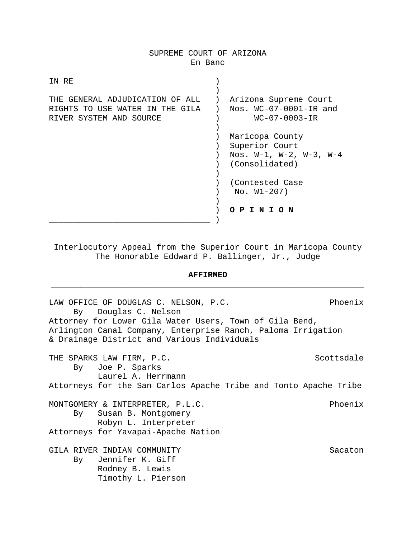## SUPREME COURT OF ARIZONA En Banc

| IN RE                                                                                         |                                                                                           |
|-----------------------------------------------------------------------------------------------|-------------------------------------------------------------------------------------------|
| THE GENERAL ADJUDICATION OF ALL<br>RIGHTS TO USE WATER IN THE GILA<br>RIVER SYSTEM AND SOURCE | Arizona Supreme Court<br>Nos. $WC-07-0001-IR$ and<br>$WC - 07 - 0003 - IR$                |
|                                                                                               | Maricopa County<br>Superior Court<br>Nos. $W-1$ , $W-2$ , $W-3$ , $W-4$<br>(Consolidated) |
|                                                                                               | (Contested Case<br>$No. W1-207)$                                                          |
|                                                                                               | PINION                                                                                    |

Interlocutory Appeal from the Superior Court in Maricopa County The Honorable Eddward P. Ballinger, Jr., Judge

# **AFFIRMED** \_\_\_\_\_\_\_\_\_\_\_\_\_\_\_\_\_\_\_\_\_\_\_\_\_\_\_\_\_\_\_\_\_\_\_\_\_\_\_\_\_\_\_\_\_\_\_\_\_\_\_\_\_\_\_\_\_\_\_\_\_\_\_\_

LAW OFFICE OF DOUGLAS C. NELSON, P.C. Phoenix By Douglas C. Nelson Attorney for Lower Gila Water Users, Town of Gila Bend, Arlington Canal Company, Enterprise Ranch, Paloma Irrigation & Drainage District and Various Individuals THE SPARKS LAW FIRM, P.C. SCOTTSDAY SCOTTS SAN By Joe P. Sparks Laurel A. Herrmann Attorneys for the San Carlos Apache Tribe and Tonto Apache Tribe MONTGOMERY & INTERPRETER, P.L.C. Phoenix By Susan B. Montgomery Robyn L. Interpreter Attorneys for Yavapai-Apache Nation GILA RIVER INDIAN COMMUNITY Sacaton By Jennifer K. Giff Rodney B. Lewis Timothy L. Pierson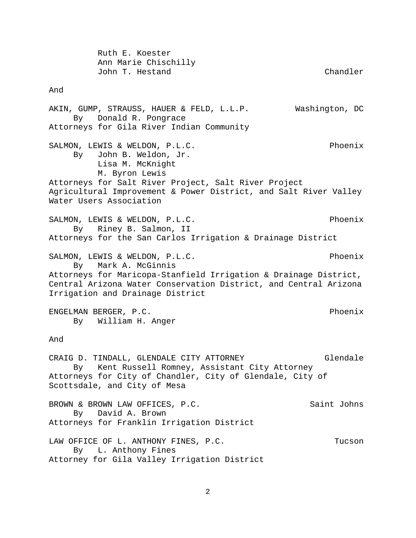Ruth E. Koester Ann Marie Chischilly John T. Hestand Chandler And AKIN, GUMP, STRAUSS, HAUER & FELD, L.L.P. Washington, DC By Donald R. Pongrace Attorneys for Gila River Indian Community SALMON, LEWIS & WELDON, P.L.C. The result of the Phoenix By John B. Weldon, Jr. Lisa M. McKnight M. Byron Lewis Attorneys for Salt River Project, Salt River Project Agricultural Improvement & Power District, and Salt River Valley Water Users Association SALMON, LEWIS & WELDON, P.L.C. The result of the Phoenix By Riney B. Salmon, II Attorneys for the San Carlos Irrigation & Drainage District SALMON, LEWIS & WELDON, P.L.C. Phoenix By Mark A. McGinnis Attorneys for Maricopa-Stanfield Irrigation & Drainage District, Central Arizona Water Conservation District, and Central Arizona Irrigation and Drainage District ENGELMAN BERGER, P.C. Phoenix By William H. Anger And CRAIG D. TINDALL, GLENDALE CITY ATTORNEY Glendale By Kent Russell Romney, Assistant City Attorney Attorneys for City of Chandler, City of Glendale, City of Scottsdale, and City of Mesa BROWN & BROWN LAW OFFICES, P.C. Saint Johns By David A. Brown Attorneys for Franklin Irrigation District LAW OFFICE OF L. ANTHONY FINES, P.C. THES INDEX TUCSON By L. Anthony Fines Attorney for Gila Valley Irrigation District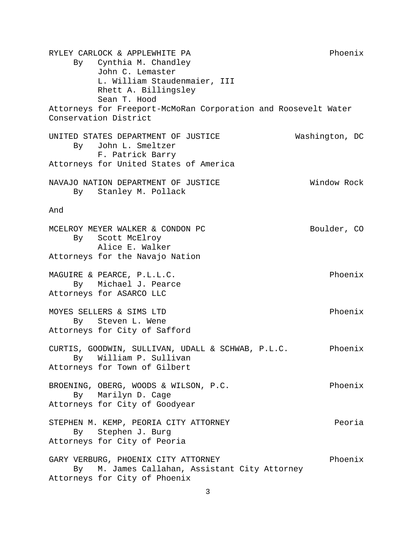RYLEY CARLOCK & APPLEWHITE PA Phoenix By Cynthia M. Chandley John C. Lemaster L. William Staudenmaier, III Rhett A. Billingsley Sean T. Hood Attorneys for Freeport-McMoRan Corporation and Roosevelt Water Conservation District UNITED STATES DEPARTMENT OF JUSTICE Washington, DC By John L. Smeltzer F. Patrick Barry Attorneys for United States of America NAVAJO NATION DEPARTMENT OF JUSTICE WILL NAVAJO NATION ROCK By Stanley M. Pollack And MCELROY MEYER WALKER & CONDON PC Boulder, CO By Scott McElroy Alice E. Walker Attorneys for the Navajo Nation MAGUIRE & PEARCE, P.L.L.C. Phoenix By Michael J. Pearce Attorneys for ASARCO LLC MOYES SELLERS & SIMS LTD Phoenix By Steven L. Wene Attorneys for City of Safford CURTIS, GOODWIN, SULLIVAN, UDALL & SCHWAB, P.L.C. Phoenix By William P. Sullivan Attorneys for Town of Gilbert BROENING, OBERG, WOODS & WILSON, P.C. Phoenix By Marilyn D. Cage Attorneys for City of Goodyear STEPHEN M. KEMP, PEORIA CITY ATTORNEY Feoria By Stephen J. Burg Attorneys for City of Peoria GARY VERBURG, PHOENIX CITY ATTORNEY FRIELLY Phoenix By M. James Callahan, Assistant City Attorney Attorneys for City of Phoenix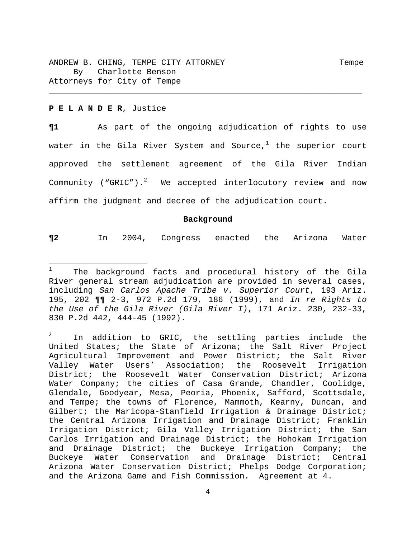### **P E L A N D E R**, Justice

**¶1** As part of the ongoing adjudication of rights to use water in the Gila River System and Source, $^1$  the superior court approved the settlement agreement of the Gila River Indian Community ("GRIC"). $^{2}$  We accepted interlocutory review and now affirm the judgment and decree of the adjudication court.

\_\_\_\_\_\_\_\_\_\_\_\_\_\_\_\_\_\_\_\_\_\_\_\_\_\_\_\_\_\_\_\_\_\_\_\_\_\_\_\_\_\_\_\_\_\_\_\_\_\_\_\_\_\_\_\_\_\_\_\_\_\_\_\_

#### **Background**

**¶2** In 2004, Congress enacted the Arizona Water

<sup>1</sup> The background facts and procedural history of the Gila River general stream adjudication are provided in several cases, including *San Carlos Apache Tribe v. Superior Court*, 193 Ariz. 195, 202 ¶¶ 2-3, 972 P.2d 179, 186 (1999), and *In re Rights to the Use of the Gila River (Gila River I)*, 171 Ariz. 230, 232-33, 830 P.2d 442, 444-45 (1992).

In addition to GRIC, the settling parties include the United States; the State of Arizona; the Salt River Project Agricultural Improvement and Power District; the Salt River Valley Water Users' Association; the Roosevelt Irrigation District; the Roosevelt Water Conservation District; Arizona Water Company; the cities of Casa Grande, Chandler, Coolidge, Glendale, Goodyear, Mesa, Peoria, Phoenix, Safford, Scottsdale, and Tempe; the towns of Florence, Mammoth, Kearny, Duncan, and Gilbert; the Maricopa-Stanfield Irrigation & Drainage District; the Central Arizona Irrigation and Drainage District; Franklin Irrigation District; Gila Valley Irrigation District; the San Carlos Irrigation and Drainage District; the Hohokam Irrigation and Drainage District; the Buckeye Irrigation Company; the Buckeye Water Conservation and Drainage District; Central Arizona Water Conservation District; Phelps Dodge Corporation; and the Arizona Game and Fish Commission. Agreement at 4.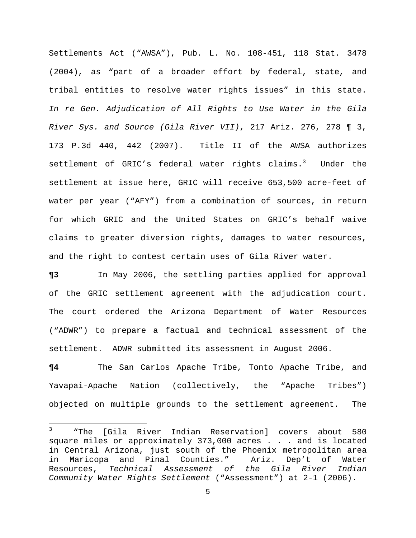Settlements Act ("AWSA"), Pub. L. No. 108-451, 118 Stat. 3478 (2004), as "part of a broader effort by federal, state, and tribal entities to resolve water rights issues" in this state. *In re Gen. Adjudication of All Rights to Use Water in the Gila River Sys. and Source (Gila River VII)*, 217 Ariz. 276, 278 ¶ 3, 173 P.3d 440, 442 (2007). Title II of the AWSA authorizes settlement of GRIC's federal water rights claims.<sup>3</sup> Under the settlement at issue here, GRIC will receive 653,500 acre-feet of water per year ("AFY") from a combination of sources, in return for which GRIC and the United States on GRIC's behalf waive claims to greater diversion rights, damages to water resources, and the right to contest certain uses of Gila River water.

**¶3** In May 2006, the settling parties applied for approval of the GRIC settlement agreement with the adjudication court. The court ordered the Arizona Department of Water Resources ("ADWR") to prepare a factual and technical assessment of the settlement. ADWR submitted its assessment in August 2006.

**¶4** The San Carlos Apache Tribe, Tonto Apache Tribe, and Yavapai-Apache Nation (collectively, the "Apache Tribes") objected on multiple grounds to the settlement agreement. The

<sup>3</sup> "The [Gila River Indian Reservation] covers about 580 square miles or approximately 373,000 acres . . . and is located in Central Arizona, just south of the Phoenix metropolitan area in Maricopa and Pinal Counties." Ariz. Dep't of Water Resources, *Technical Assessment of the Gila River Indian Community Water Rights Settlement* ("Assessment") at 2-1 (2006).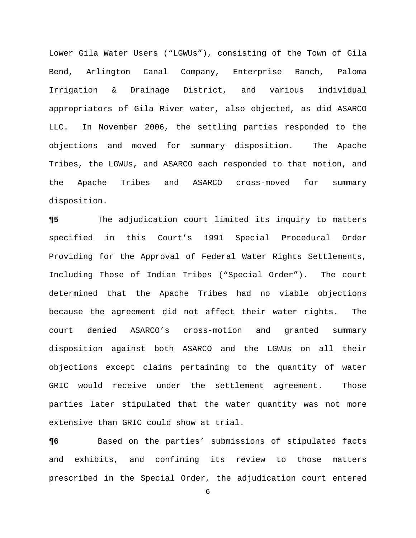Lower Gila Water Users ("LGWUs"), consisting of the Town of Gila Bend, Arlington Canal Company, Enterprise Ranch, Paloma Irrigation & Drainage District, and various individual appropriators of Gila River water, also objected, as did ASARCO LLC. In November 2006, the settling parties responded to the objections and moved for summary disposition. The Apache Tribes, the LGWUs, and ASARCO each responded to that motion, and the Apache Tribes and ASARCO cross-moved for summary disposition.

**¶5** The adjudication court limited its inquiry to matters specified in this Court's 1991 Special Procedural Order Providing for the Approval of Federal Water Rights Settlements, Including Those of Indian Tribes ("Special Order"). The court determined that the Apache Tribes had no viable objections because the agreement did not affect their water rights. The court denied ASARCO's cross-motion and granted summary disposition against both ASARCO and the LGWUs on all their objections except claims pertaining to the quantity of water GRIC would receive under the settlement agreement. Those parties later stipulated that the water quantity was not more extensive than GRIC could show at trial.

**¶6** Based on the parties' submissions of stipulated facts and exhibits, and confining its review to those matters prescribed in the Special Order, the adjudication court entered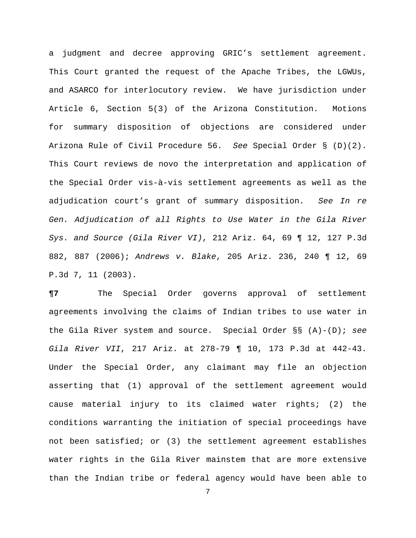a judgment and decree approving GRIC's settlement agreement. This Court granted the request of the Apache Tribes, the LGWUs, and ASARCO for interlocutory review. We have jurisdiction under Article 6, Section 5(3) of the Arizona Constitution. Motions for summary disposition of objections are considered under Arizona Rule of Civil Procedure 56. *See* Special Order § (D)(2). This Court reviews de novo the interpretation and application of the Special Order vis-à-vis settlement agreements as well as the adjudication court's grant of summary disposition. *See In re Gen. Adjudication of all Rights to Use Water in the Gila River Sys. and Source (Gila River VI)*, 212 Ariz. 64, 69 ¶ 12, 127 P.3d 882, 887 (2006); *Andrews v. Blake*, 205 Ariz. 236, 240 ¶ 12, 69 P.3d 7, 11 (2003).

**¶7** The Special Order governs approval of settlement agreements involving the claims of Indian tribes to use water in the Gila River system and source. Special Order §§ (A)-(D); *see Gila River VII*, 217 Ariz. at 278-79 ¶ 10, 173 P.3d at 442-43. Under the Special Order, any claimant may file an objection asserting that (1) approval of the settlement agreement would cause material injury to its claimed water rights; (2) the conditions warranting the initiation of special proceedings have not been satisfied; or (3) the settlement agreement establishes water rights in the Gila River mainstem that are more extensive than the Indian tribe or federal agency would have been able to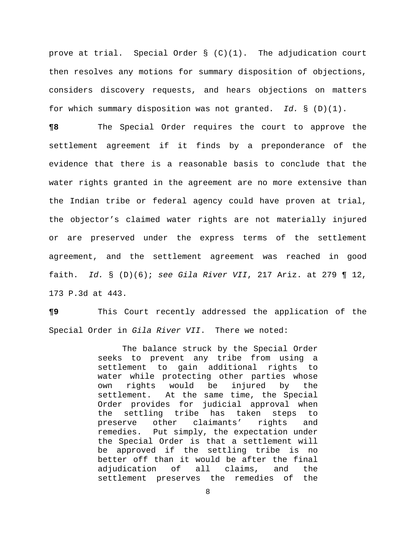prove at trial. Special Order § (C)(1). The adjudication court then resolves any motions for summary disposition of objections, considers discovery requests, and hears objections on matters for which summary disposition was not granted. *Id.* § (D)(1).

**¶8** The Special Order requires the court to approve the settlement agreement if it finds by a preponderance of the evidence that there is a reasonable basis to conclude that the water rights granted in the agreement are no more extensive than the Indian tribe or federal agency could have proven at trial, the objector's claimed water rights are not materially injured or are preserved under the express terms of the settlement agreement, and the settlement agreement was reached in good faith. *Id.* § (D)(6); *see Gila River VII*, 217 Ariz. at 279 ¶ 12, 173 P.3d at 443.

**¶9** This Court recently addressed the application of the Special Order in *Gila River VII*. There we noted:

> The balance struck by the Special Order seeks to prevent any tribe from using a settlement to gain additional rights to water while protecting other parties whose own rights would be injured by the settlement. At the same time, the Special Order provides for judicial approval when the settling tribe has taken steps to preserve other claimants' rights and remedies. Put simply, the expectation under the Special Order is that a settlement will be approved if the settling tribe is no better off than it would be after the final adjudication of all claims, and the settlement preserves the remedies of the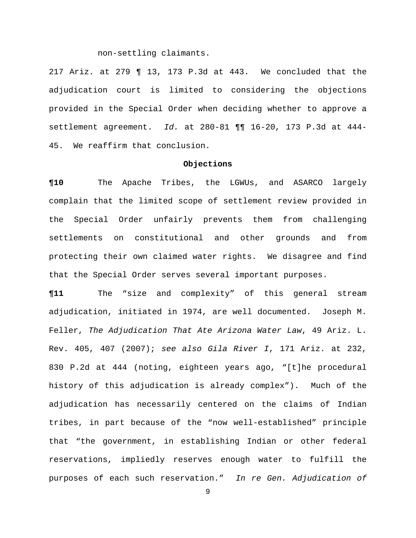non-settling claimants.

217 Ariz. at 279 ¶ 13, 173 P.3d at 443. We concluded that the adjudication court is limited to considering the objections provided in the Special Order when deciding whether to approve a settlement agreement. *Id.* at 280-81 ¶¶ 16-20, 173 P.3d at 444- 45. We reaffirm that conclusion.

### **Objections**

**¶10** The Apache Tribes, the LGWUs, and ASARCO largely complain that the limited scope of settlement review provided in the Special Order unfairly prevents them from challenging settlements on constitutional and other grounds and from protecting their own claimed water rights. We disagree and find that the Special Order serves several important purposes.

**¶11** The "size and complexity" of this general stream adjudication, initiated in 1974, are well documented. Joseph M. Feller, *The Adjudication That Ate Arizona Water Law*, 49 Ariz. L. Rev. 405, 407 (2007); *see also Gila River I*, 171 Ariz. at 232, 830 P.2d at 444 (noting, eighteen years ago, "[t]he procedural history of this adjudication is already complex"). Much of the adjudication has necessarily centered on the claims of Indian tribes, in part because of the "now well-established" principle that "the government, in establishing Indian or other federal reservations, impliedly reserves enough water to fulfill the purposes of each such reservation." *In re Gen. Adjudication of*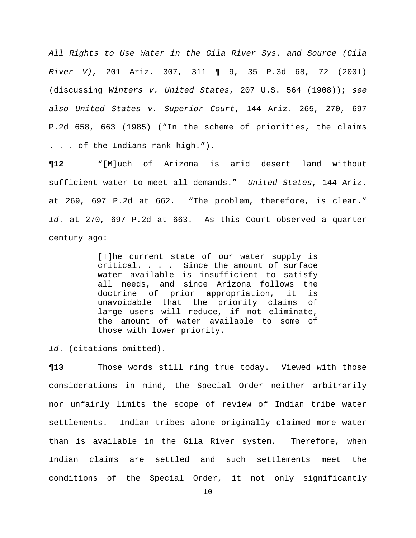*All Rights to Use Water in the Gila River Sys. and Source (Gila River V)*, 201 Ariz. 307, 311 ¶ 9, 35 P.3d 68, 72 (2001) (discussing *Winters v. United States*, 207 U.S. 564 (1908)); *see also United States v. Superior Court*, 144 Ariz. 265, 270, 697 P.2d 658, 663 (1985) ("In the scheme of priorities, the claims . . . of the Indians rank high.").

**¶12** "[M]uch of Arizona is arid desert land without sufficient water to meet all demands." *United States*, 144 Ariz. at 269, 697 P.2d at 662. "The problem, therefore, is clear." *Id*. at 270, 697 P.2d at 663. As this Court observed a quarter century ago:

> [T]he current state of our water supply is critical. . . . Since the amount of surface water available is insufficient to satisfy all needs, and since Arizona follows the doctrine of prior appropriation, it is unavoidable that the priority claims of large users will reduce, if not eliminate, the amount of water available to some of those with lower priority.

*Id*. (citations omitted).

**¶13** Those words still ring true today. Viewed with those considerations in mind, the Special Order neither arbitrarily nor unfairly limits the scope of review of Indian tribe water settlements. Indian tribes alone originally claimed more water than is available in the Gila River system. Therefore, when Indian claims are settled and such settlements meet the conditions of the Special Order, it not only significantly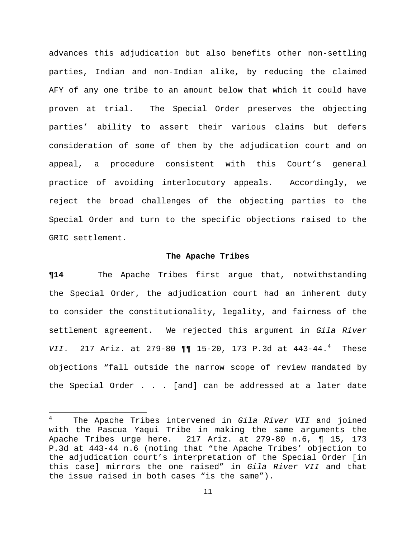advances this adjudication but also benefits other non-settling parties, Indian and non-Indian alike, by reducing the claimed AFY of any one tribe to an amount below that which it could have proven at trial. The Special Order preserves the objecting parties' ability to assert their various claims but defers consideration of some of them by the adjudication court and on appeal, a procedure consistent with this Court's general practice of avoiding interlocutory appeals. Accordingly, we reject the broad challenges of the objecting parties to the Special Order and turn to the specific objections raised to the GRIC settlement.

### **The Apache Tribes**

**¶14** The Apache Tribes first argue that, notwithstanding the Special Order, the adjudication court had an inherent duty to consider the constitutionality, legality, and fairness of the settlement agreement. We rejected this argument in *Gila River VII*. 217 Ariz. at 279-80 ¶¶ 15-20, 173 P.3d at 443-44.<sup>4</sup> These objections "fall outside the narrow scope of review mandated by the Special Order . . . [and] can be addressed at a later date

<sup>4</sup> The Apache Tribes intervened in *Gila River VII* and joined with the Pascua Yaqui Tribe in making the same arguments the Apache Tribes urge here. 217 Ariz. at 279-80 n.6, ¶ 15, 173 P.3d at 443-44 n.6 (noting that "the Apache Tribes' objection to the adjudication court's interpretation of the Special Order [in this case] mirrors the one raised" in *Gila River VII* and that the issue raised in both cases "is the same").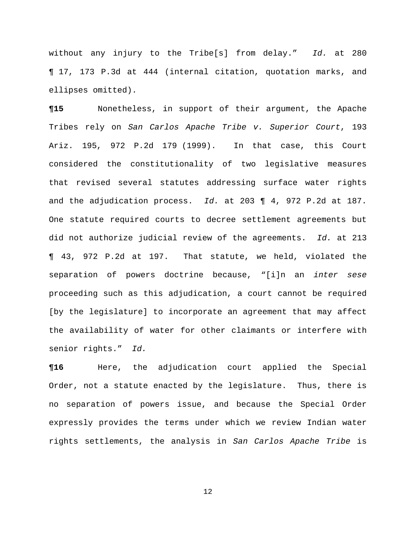without any injury to the Tribe[s] from delay." *Id.* at 280 ¶ 17, 173 P.3d at 444 (internal citation, quotation marks, and ellipses omitted).

**¶15** Nonetheless, in support of their argument, the Apache Tribes rely on *San Carlos Apache Tribe v. Superior Court*, 193 Ariz. 195, 972 P.2d 179 (1999). In that case, this Court considered the constitutionality of two legislative measures that revised several statutes addressing surface water rights and the adjudication process. *Id.* at 203 ¶ 4, 972 P.2d at 187. One statute required courts to decree settlement agreements but did not authorize judicial review of the agreements. *Id.* at 213 ¶ 43, 972 P.2d at 197. That statute, we held, violated the separation of powers doctrine because, "[i]n an *inter sese*  proceeding such as this adjudication, a court cannot be required [by the legislature] to incorporate an agreement that may affect the availability of water for other claimants or interfere with senior rights." *Id.*

**¶16** Here, the adjudication court applied the Special Order, not a statute enacted by the legislature. Thus, there is no separation of powers issue, and because the Special Order expressly provides the terms under which we review Indian water rights settlements, the analysis in *San Carlos Apache Tribe* is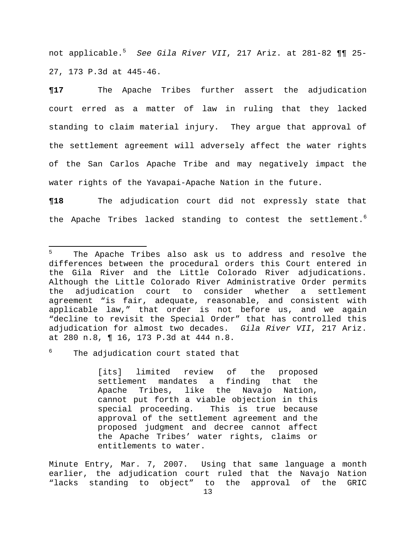not applicable.<sup>5</sup> *See Gila River VII*, 217 Ariz. at 281-82 ¶¶ 25- 27, 173 P.3d at 445-46.

**¶17** The Apache Tribes further assert the adjudication court erred as a matter of law in ruling that they lacked standing to claim material injury. They argue that approval of the settlement agreement will adversely affect the water rights of the San Carlos Apache Tribe and may negatively impact the water rights of the Yavapai-Apache Nation in the future.

**¶18** The adjudication court did not expressly state that the Apache Tribes lacked standing to contest the settlement.<sup>6</sup>

6 The adjudication court stated that

[its] limited review of the proposed settlement mandates a finding that the Apache Tribes, like the Navajo Nation, cannot put forth a viable objection in this special proceeding. This is true because approval of the settlement agreement and the proposed judgment and decree cannot affect the Apache Tribes' water rights, claims or entitlements to water.

Minute Entry, Mar. 7, 2007. Using that same language a month earlier, the adjudication court ruled that the Navajo Nation "lacks standing to object" to the approval of the GRIC

<sup>5</sup> The Apache Tribes also ask us to address and resolve the differences between the procedural orders this Court entered in the Gila River and the Little Colorado River adjudications. Although the Little Colorado River Administrative Order permits the adjudication court to consider whether a settlement agreement "is fair, adequate, reasonable, and consistent with applicable law," that order is not before us, and we again "decline to revisit the Special Order" that has controlled this adjudication for almost two decades. *Gila River VII*, 217 Ariz. at 280 n.8, ¶ 16, 173 P.3d at 444 n.8.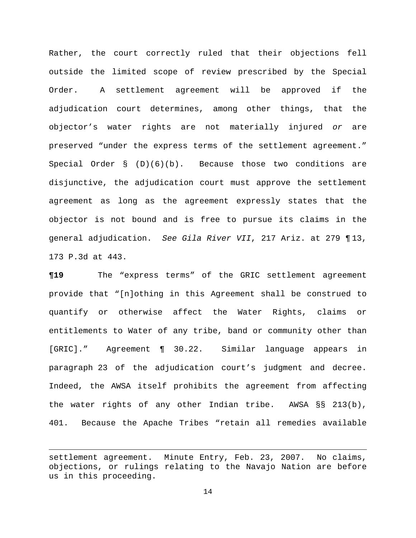Rather, the court correctly ruled that their objections fell outside the limited scope of review prescribed by the Special Order. A settlement agreement will be approved if the adjudication court determines, among other things, that the objector's water rights are not materially injured *or* are preserved "under the express terms of the settlement agreement." Special Order  $\S$  (D)(6)(b). Because those two conditions are disjunctive, the adjudication court must approve the settlement agreement as long as the agreement expressly states that the objector is not bound and is free to pursue its claims in the general adjudication. *See Gila River VII*, 217 Ariz. at 279 ¶ 13, 173 P.3d at 443.

**¶19** The "express terms" of the GRIC settlement agreement provide that "[n]othing in this Agreement shall be construed to quantify or otherwise affect the Water Rights, claims or entitlements to Water of any tribe, band or community other than [GRIC]." Agreement ¶ 30.22. Similar language appears in paragraph 23 of the adjudication court's judgment and decree. Indeed, the AWSA itself prohibits the agreement from affecting the water rights of any other Indian tribe. AWSA §§ 213(b), 401. Because the Apache Tribes "retain all remedies available

<u> 1989 - Johann Stein, marwolaethau a bhannaich an t-an an t-an an t-an an t-an an t-an an t-an an t-an an t-a</u>

settlement agreement. Minute Entry, Feb. 23, 2007. No claims, objections, or rulings relating to the Navajo Nation are before us in this proceeding.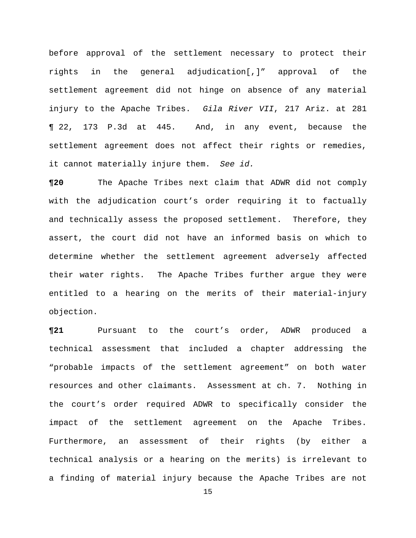before approval of the settlement necessary to protect their rights in the general adjudication[,]" approval of the settlement agreement did not hinge on absence of any material injury to the Apache Tribes. *Gila River VII*, 217 Ariz. at 281 ¶ 22, 173 P.3d at 445. And, in any event, because the settlement agreement does not affect their rights or remedies, it cannot materially injure them. *See id.*

**¶20** The Apache Tribes next claim that ADWR did not comply with the adjudication court's order requiring it to factually and technically assess the proposed settlement. Therefore, they assert, the court did not have an informed basis on which to determine whether the settlement agreement adversely affected their water rights. The Apache Tribes further argue they were entitled to a hearing on the merits of their material-injury objection.

**¶21** Pursuant to the court's order, ADWR produced a technical assessment that included a chapter addressing the "probable impacts of the settlement agreement" on both water resources and other claimants. Assessment at ch. 7. Nothing in the court's order required ADWR to specifically consider the impact of the settlement agreement on the Apache Tribes. Furthermore, an assessment of their rights (by either a technical analysis or a hearing on the merits) is irrelevant to a finding of material injury because the Apache Tribes are not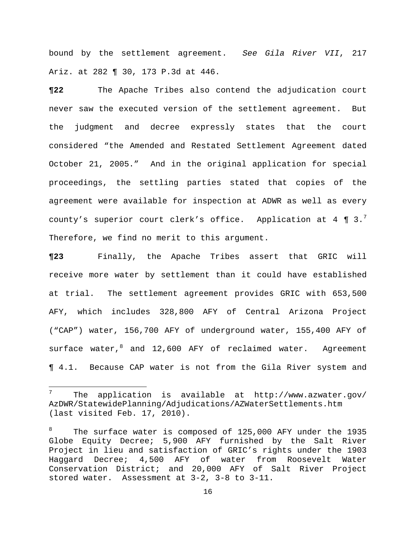bound by the settlement agreement. *See Gila River VII*, 217 Ariz. at 282 ¶ 30, 173 P.3d at 446.

**¶22** The Apache Tribes also contend the adjudication court never saw the executed version of the settlement agreement. But the judgment and decree expressly states that the court considered "the Amended and Restated Settlement Agreement dated October 21, 2005." And in the original application for special proceedings, the settling parties stated that copies of the agreement were available for inspection at ADWR as well as every county's superior court clerk's office. Application at 4  $\P$  3.<sup>7</sup> Therefore, we find no merit to this argument.

**¶23** Finally, the Apache Tribes assert that GRIC will receive more water by settlement than it could have established at trial. The settlement agreement provides GRIC with 653,500 AFY, which includes 328,800 AFY of Central Arizona Project ("CAP") water, 156,700 AFY of underground water, 155,400 AFY of surface water, and 12,600 AFY of reclaimed water. Agreement ¶ 4.1. Because CAP water is not from the Gila River system and

<sup>7</sup> The application is available at http://www.azwater.gov/ AzDWR/StatewidePlanning/Adjudications/AZWaterSettlements.htm (last visited Feb. 17, 2010).

<sup>8</sup> The surface water is composed of 125,000 AFY under the 1935 Globe Equity Decree; 5,900 AFY furnished by the Salt River Project in lieu and satisfaction of GRIC's rights under the 1903 Haggard Decree; 4,500 AFY of water from Roosevelt Water Conservation District; and 20,000 AFY of Salt River Project stored water. Assessment at 3-2, 3-8 to 3-11.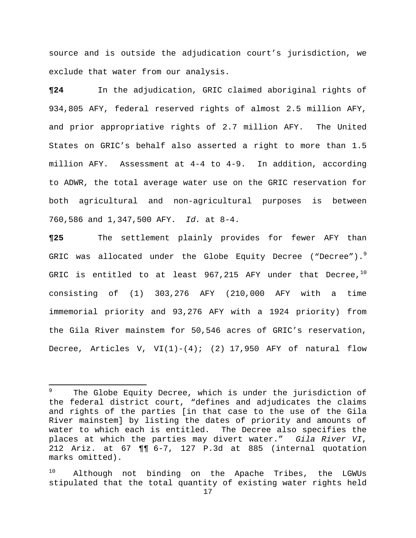source and is outside the adjudication court's jurisdiction, we exclude that water from our analysis.

**¶24** In the adjudication, GRIC claimed aboriginal rights of 934,805 AFY, federal reserved rights of almost 2.5 million AFY, and prior appropriative rights of 2.7 million AFY. The United States on GRIC's behalf also asserted a right to more than 1.5 million AFY. Assessment at 4-4 to 4-9. In addition, according to ADWR, the total average water use on the GRIC reservation for both agricultural and non-agricultural purposes is between 760,586 and 1,347,500 AFY. *Id.* at 8-4.

**¶25** The settlement plainly provides for fewer AFY than GRIC was allocated under the Globe Equity Decree ("Decree").<sup>9</sup> GRIC is entitled to at least  $967,215$  AFY under that Decree,<sup>10</sup> consisting of (1) 303,276 AFY (210,000 AFY with a time immemorial priority and 93,276 AFY with a 1924 priority) from the Gila River mainstem for 50,546 acres of GRIC's reservation, Decree, Articles V, VI(1)-(4); (2) 17,950 AFY of natural flow

<sup>9</sup> The Globe Equity Decree, which is under the jurisdiction of the federal district court, "defines and adjudicates the claims and rights of the parties [in that case to the use of the Gila River mainstem] by listing the dates of priority and amounts of water to which each is entitled. The Decree also specifies the places at which the parties may divert water." *Gila River VI*, 212 Ariz. at 67 ¶¶ 6-7, 127 P.3d at 885 (internal quotation marks omitted).

<sup>10</sup> Although not binding on the Apache Tribes, the LGWUs stipulated that the total quantity of existing water rights held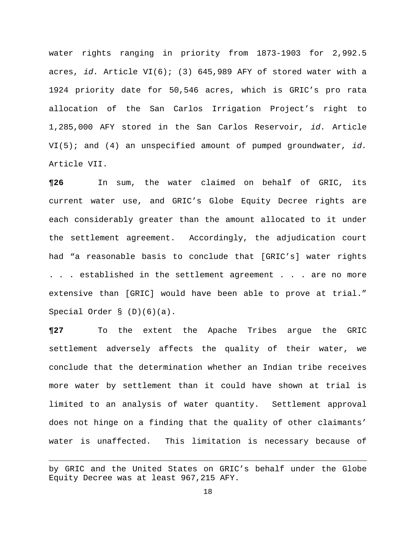water rights ranging in priority from 1873-1903 for 2,992.5 acres, *id.* Article VI(6); (3) 645,989 AFY of stored water with a 1924 priority date for 50,546 acres, which is GRIC's pro rata allocation of the San Carlos Irrigation Project's right to 1,285,000 AFY stored in the San Carlos Reservoir, *id.* Article VI(5); and (4) an unspecified amount of pumped groundwater, *id.* Article VII.

**¶26** In sum, the water claimed on behalf of GRIC, its current water use, and GRIC's Globe Equity Decree rights are each considerably greater than the amount allocated to it under the settlement agreement. Accordingly, the adjudication court had "a reasonable basis to conclude that [GRIC's] water rights . . . established in the settlement agreement . . . are no more extensive than [GRIC] would have been able to prove at trial." Special Order § (D)(6)(a).

**¶27** To the extent the Apache Tribes argue the GRIC settlement adversely affects the quality of their water, we conclude that the determination whether an Indian tribe receives more water by settlement than it could have shown at trial is limited to an analysis of water quantity. Settlement approval does not hinge on a finding that the quality of other claimants' water is unaffected. This limitation is necessary because of

<u> 1989 - Johann Stein, marwolaethau a bhannaich an t-an an t-an an t-an an t-an an t-an an t-an an t-an an t-a</u>

by GRIC and the United States on GRIC's behalf under the Globe Equity Decree was at least 967,215 AFY.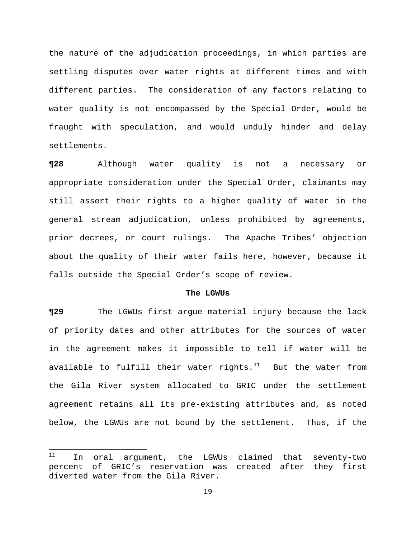the nature of the adjudication proceedings, in which parties are settling disputes over water rights at different times and with different parties. The consideration of any factors relating to water quality is not encompassed by the Special Order, would be fraught with speculation, and would unduly hinder and delay settlements.

**¶28** Although water quality is not a necessary or appropriate consideration under the Special Order, claimants may still assert their rights to a higher quality of water in the general stream adjudication, unless prohibited by agreements, prior decrees, or court rulings. The Apache Tribes' objection about the quality of their water fails here, however, because it falls outside the Special Order's scope of review.

### **The LGWUs**

**¶29** The LGWUs first argue material injury because the lack of priority dates and other attributes for the sources of water in the agreement makes it impossible to tell if water will be available to fulfill their water rights. $11$  But the water from the Gila River system allocated to GRIC under the settlement agreement retains all its pre-existing attributes and, as noted below, the LGWUs are not bound by the settlement. Thus, if the

<sup>&</sup>lt;sup>11</sup> In oral argument, the LGWUs claimed that seventy-two percent of GRIC's reservation was created after they first diverted water from the Gila River.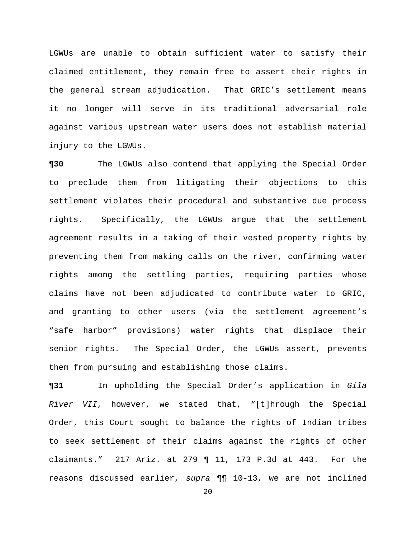LGWUs are unable to obtain sufficient water to satisfy their claimed entitlement, they remain free to assert their rights in the general stream adjudication. That GRIC's settlement means it no longer will serve in its traditional adversarial role against various upstream water users does not establish material injury to the LGWUs.

**¶30** The LGWUs also contend that applying the Special Order to preclude them from litigating their objections to this settlement violates their procedural and substantive due process rights. Specifically, the LGWUs argue that the settlement agreement results in a taking of their vested property rights by preventing them from making calls on the river, confirming water rights among the settling parties, requiring parties whose claims have not been adjudicated to contribute water to GRIC, and granting to other users (via the settlement agreement's "safe harbor" provisions) water rights that displace their senior rights. The Special Order, the LGWUs assert, prevents them from pursuing and establishing those claims.

**¶31** In upholding the Special Order's application in *Gila River VII*, however, we stated that, "[t]hrough the Special Order, this Court sought to balance the rights of Indian tribes to seek settlement of their claims against the rights of other claimants." 217 Ariz. at 279 ¶ 11, 173 P.3d at 443. For the reasons discussed earlier, *supra* ¶¶ 10-13, we are not inclined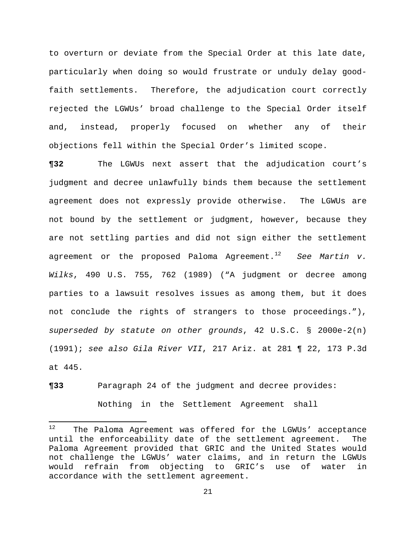to overturn or deviate from the Special Order at this late date, particularly when doing so would frustrate or unduly delay goodfaith settlements. Therefore, the adjudication court correctly rejected the LGWUs' broad challenge to the Special Order itself and, instead, properly focused on whether any of their objections fell within the Special Order's limited scope.

**¶32** The LGWUs next assert that the adjudication court's judgment and decree unlawfully binds them because the settlement agreement does not expressly provide otherwise. The LGWUs are not bound by the settlement or judgment, however, because they are not settling parties and did not sign either the settlement agreement or the proposed Paloma Agreement.<sup>12</sup> *See Martin v. Wilks*, 490 U.S. 755, 762 (1989) ("A judgment or decree among parties to a lawsuit resolves issues as among them, but it does not conclude the rights of strangers to those proceedings."), *superseded by statute on other grounds*, 42 U.S.C. § 2000e-2(n) (1991); *see also Gila River VII*, 217 Ariz. at 281 ¶ 22, 173 P.3d at 445.

**¶33** Paragraph 24 of the judgment and decree provides: Nothing in the Settlement Agreement shall

<sup>12</sup> The Paloma Agreement was offered for the LGWUs' acceptance until the enforceability date of the settlement agreement. The Paloma Agreement provided that GRIC and the United States would not challenge the LGWUs' water claims, and in return the LGWUs would refrain from objecting to GRIC's use of water in accordance with the settlement agreement.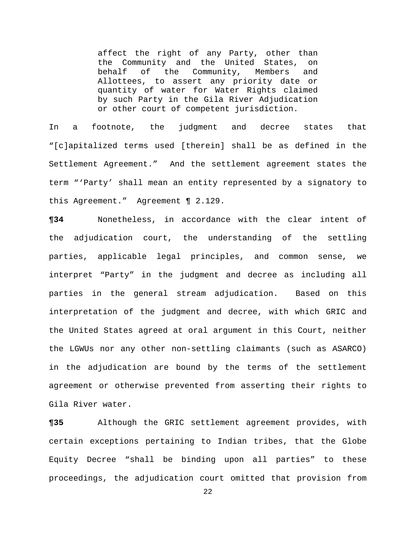affect the right of any Party, other than the Community and the United States, on behalf of the Community, Members and Allottees, to assert any priority date or quantity of water for Water Rights claimed by such Party in the Gila River Adjudication or other court of competent jurisdiction.

In a footnote, the judgment and decree states that "[c]apitalized terms used [therein] shall be as defined in the Settlement Agreement." And the settlement agreement states the term "'Party' shall mean an entity represented by a signatory to this Agreement." Agreement ¶ 2.129.

**¶34** Nonetheless, in accordance with the clear intent of the adjudication court, the understanding of the settling parties, applicable legal principles, and common sense, we interpret "Party" in the judgment and decree as including all parties in the general stream adjudication. Based on this interpretation of the judgment and decree, with which GRIC and the United States agreed at oral argument in this Court, neither the LGWUs nor any other non-settling claimants (such as ASARCO) in the adjudication are bound by the terms of the settlement agreement or otherwise prevented from asserting their rights to Gila River water.

**¶35** Although the GRIC settlement agreement provides, with certain exceptions pertaining to Indian tribes, that the Globe Equity Decree "shall be binding upon all parties" to these proceedings, the adjudication court omitted that provision from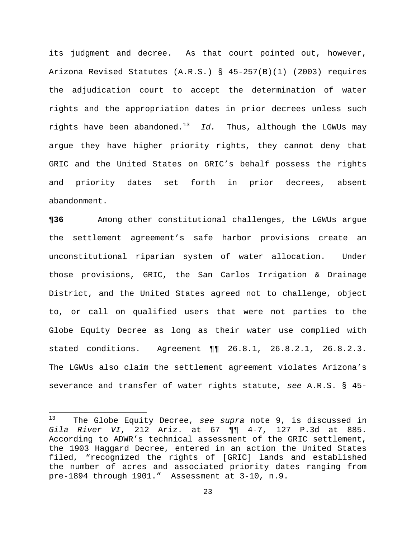its judgment and decree. As that court pointed out, however, Arizona Revised Statutes (A.R.S.) § 45-257(B)(1) (2003) requires the adjudication court to accept the determination of water rights and the appropriation dates in prior decrees unless such rights have been abandoned.13 *Id.* Thus, although the LGWUs may argue they have higher priority rights, they cannot deny that GRIC and the United States on GRIC's behalf possess the rights and priority dates set forth in prior decrees, absent abandonment.

**¶36** Among other constitutional challenges, the LGWUs argue the settlement agreement's safe harbor provisions create an unconstitutional riparian system of water allocation. Under those provisions, GRIC, the San Carlos Irrigation & Drainage District, and the United States agreed not to challenge, object to, or call on qualified users that were not parties to the Globe Equity Decree as long as their water use complied with stated conditions. Agreement ¶¶ 26.8.1, 26.8.2.1, 26.8.2.3. The LGWUs also claim the settlement agreement violates Arizona's severance and transfer of water rights statute, *see* A.R.S. § 45-

<sup>13</sup> The Globe Equity Decree, *see supra* note 9, is discussed in *Gila River VI*, 212 Ariz. at 67 ¶¶ 4-7, 127 P.3d at 885. According to ADWR's technical assessment of the GRIC settlement, the 1903 Haggard Decree, entered in an action the United States filed, "recognized the rights of [GRIC] lands and established the number of acres and associated priority dates ranging from pre-1894 through 1901." Assessment at 3-10, n.9.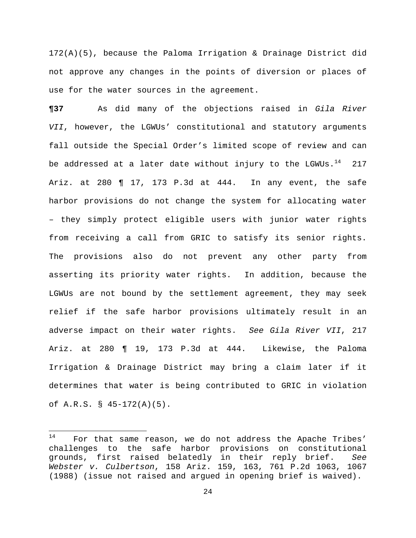172(A)(5), because the Paloma Irrigation & Drainage District did not approve any changes in the points of diversion or places of use for the water sources in the agreement.

**¶37** As did many of the objections raised in *Gila River VII*, however, the LGWUs' constitutional and statutory arguments fall outside the Special Order's limited scope of review and can be addressed at a later date without injury to the LGWUs. $14$  217 Ariz. at 280 ¶ 17, 173 P.3d at 444. In any event, the safe harbor provisions do not change the system for allocating water – they simply protect eligible users with junior water rights from receiving a call from GRIC to satisfy its senior rights. The provisions also do not prevent any other party from asserting its priority water rights. In addition, because the LGWUs are not bound by the settlement agreement, they may seek relief if the safe harbor provisions ultimately result in an adverse impact on their water rights. *See Gila River VII*, 217 Ariz. at 280 ¶ 19, 173 P.3d at 444. Likewise, the Paloma Irrigation & Drainage District may bring a claim later if it determines that water is being contributed to GRIC in violation of A.R.S. § 45-172(A)(5).

 $14$  For that same reason, we do not address the Apache Tribes' challenges to the safe harbor provisions on constitutional grounds, first raised belatedly in their reply brief. *See Webster v. Culbertson*, 158 Ariz. 159, 163, 761 P.2d 1063, 1067 (1988) (issue not raised and argued in opening brief is waived).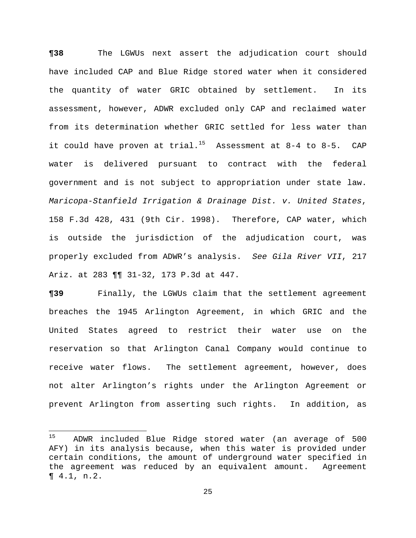**¶38** The LGWUs next assert the adjudication court should have included CAP and Blue Ridge stored water when it considered the quantity of water GRIC obtained by settlement. In its assessment, however, ADWR excluded only CAP and reclaimed water from its determination whether GRIC settled for less water than it could have proven at trial.<sup>15</sup> Assessment at 8-4 to 8-5. CAP water is delivered pursuant to contract with the federal government and is not subject to appropriation under state law. *Maricopa-Stanfield Irrigation & Drainage Dist. v. United States*, 158 F.3d 428, 431 (9th Cir. 1998). Therefore, CAP water, which is outside the jurisdiction of the adjudication court, was properly excluded from ADWR's analysis. *See Gila River VII*, 217 Ariz. at 283 ¶¶ 31-32, 173 P.3d at 447.

**¶39** Finally, the LGWUs claim that the settlement agreement breaches the 1945 Arlington Agreement, in which GRIC and the United States agreed to restrict their water use on the reservation so that Arlington Canal Company would continue to receive water flows. The settlement agreement, however, does not alter Arlington's rights under the Arlington Agreement or prevent Arlington from asserting such rights. In addition, as

<sup>15</sup> ADWR included Blue Ridge stored water (an average of 500 AFY) in its analysis because, when this water is provided under certain conditions, the amount of underground water specified in the agreement was reduced by an equivalent amount. Agreement ¶ 4.1, n.2.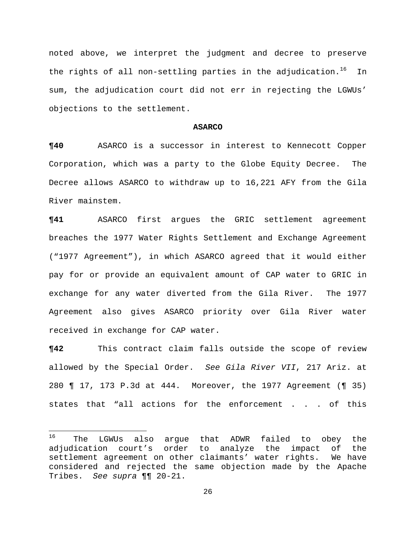noted above, we interpret the judgment and decree to preserve the rights of all non-settling parties in the adjudication.<sup>16</sup> In sum, the adjudication court did not err in rejecting the LGWUs' objections to the settlement.

### **ASARCO**

**¶40** ASARCO is a successor in interest to Kennecott Copper Corporation, which was a party to the Globe Equity Decree. The Decree allows ASARCO to withdraw up to 16,221 AFY from the Gila River mainstem.

**¶41** ASARCO first argues the GRIC settlement agreement breaches the 1977 Water Rights Settlement and Exchange Agreement ("1977 Agreement"), in which ASARCO agreed that it would either pay for or provide an equivalent amount of CAP water to GRIC in exchange for any water diverted from the Gila River. The 1977 Agreement also gives ASARCO priority over Gila River water received in exchange for CAP water.

**¶42** This contract claim falls outside the scope of review allowed by the Special Order. *See Gila River VII*, 217 Ariz. at 280 ¶ 17, 173 P.3d at 444. Moreover, the 1977 Agreement (¶ 35) states that "all actions for the enforcement . . . of this

<sup>&</sup>lt;sup>16</sup> The LGWUs also argue that ADWR failed to obey the adjudication court's order to analyze the impact of the settlement agreement on other claimants' water rights. We have considered and rejected the same objection made by the Apache Tribes. *See supra* ¶¶ 20-21.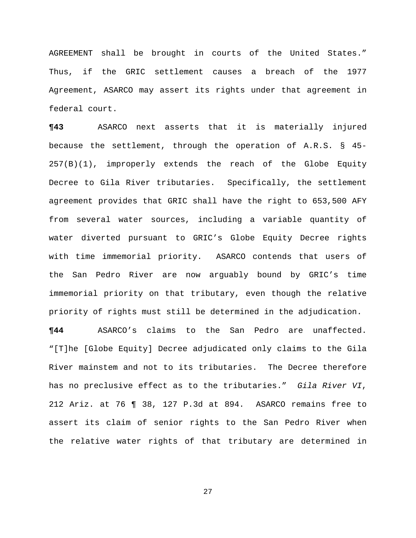AGREEMENT shall be brought in courts of the United States." Thus, if the GRIC settlement causes a breach of the 1977 Agreement, ASARCO may assert its rights under that agreement in federal court.

**¶43** ASARCO next asserts that it is materially injured because the settlement, through the operation of A.R.S. § 45- 257(B)(1), improperly extends the reach of the Globe Equity Decree to Gila River tributaries. Specifically, the settlement agreement provides that GRIC shall have the right to 653,500 AFY from several water sources, including a variable quantity of water diverted pursuant to GRIC's Globe Equity Decree rights with time immemorial priority. ASARCO contends that users of the San Pedro River are now arguably bound by GRIC's time immemorial priority on that tributary, even though the relative priority of rights must still be determined in the adjudication.

**¶44** ASARCO's claims to the San Pedro are unaffected. "[T]he [Globe Equity] Decree adjudicated only claims to the Gila River mainstem and not to its tributaries. The Decree therefore has no preclusive effect as to the tributaries." *Gila River VI*, 212 Ariz. at 76 ¶ 38, 127 P.3d at 894. ASARCO remains free to assert its claim of senior rights to the San Pedro River when the relative water rights of that tributary are determined in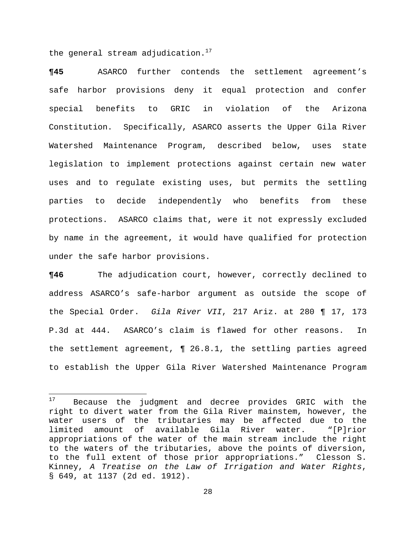the general stream adjudication. $17$ 

**¶45** ASARCO further contends the settlement agreement's safe harbor provisions deny it equal protection and confer special benefits to GRIC in violation of the Arizona Constitution. Specifically, ASARCO asserts the Upper Gila River Watershed Maintenance Program, described below, uses state legislation to implement protections against certain new water uses and to regulate existing uses, but permits the settling parties to decide independently who benefits from these protections. ASARCO claims that, were it not expressly excluded by name in the agreement, it would have qualified for protection under the safe harbor provisions.

**¶46** The adjudication court, however, correctly declined to address ASARCO's safe-harbor argument as outside the scope of the Special Order. *Gila River VII*, 217 Ariz. at 280 ¶ 17, 173 P.3d at 444. ASARCO's claim is flawed for other reasons. In the settlement agreement, ¶ 26.8.1, the settling parties agreed to establish the Upper Gila River Watershed Maintenance Program

<sup>&</sup>lt;sup>17</sup> Because the judgment and decree provides GRIC with the right to divert water from the Gila River mainstem, however, the water users of the tributaries may be affected due to the limited amount of available Gila River water. "[P]rior appropriations of the water of the main stream include the right to the waters of the tributaries, above the points of diversion, to the full extent of those prior appropriations." Clesson S. Kinney, *A Treatise on the Law of Irrigation and Water Rights*, § 649, at 1137 (2d ed. 1912).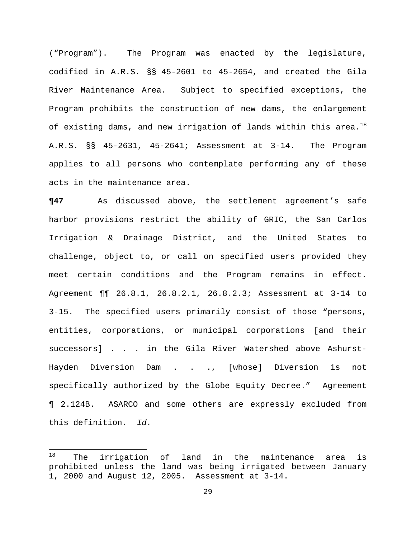("Program"). The Program was enacted by the legislature, codified in A.R.S. §§ 45-2601 to 45-2654, and created the Gila River Maintenance Area. Subject to specified exceptions, the Program prohibits the construction of new dams, the enlargement of existing dams, and new irrigation of lands within this area.<sup>18</sup> A.R.S. §§ 45-2631, 45-2641; Assessment at 3-14. The Program applies to all persons who contemplate performing any of these acts in the maintenance area.

**¶47** As discussed above, the settlement agreement's safe harbor provisions restrict the ability of GRIC, the San Carlos Irrigation & Drainage District, and the United States to challenge, object to, or call on specified users provided they meet certain conditions and the Program remains in effect. Agreement ¶¶ 26.8.1, 26.8.2.1, 26.8.2.3; Assessment at 3-14 to 3-15. The specified users primarily consist of those "persons, entities, corporations, or municipal corporations [and their successors] . . . in the Gila River Watershed above Ashurst-Hayden Diversion Dam . . ., [whose] Diversion is not specifically authorized by the Globe Equity Decree." Agreement ¶ 2.124B. ASARCO and some others are expressly excluded from this definition. *Id.*

 $18$  The irrigation of land in the maintenance area is prohibited unless the land was being irrigated between January 1, 2000 and August 12, 2005. Assessment at 3-14.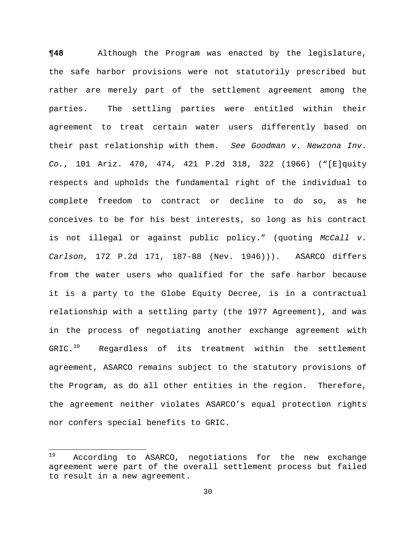**¶48** Although the Program was enacted by the legislature, the safe harbor provisions were not statutorily prescribed but rather are merely part of the settlement agreement among the parties. The settling parties were entitled within their agreement to treat certain water users differently based on their past relationship with them. *See Goodman v. Newzona Inv. Co.*, 101 Ariz. 470, 474, 421 P.2d 318, 322 (1966) ("[E]quity respects and upholds the fundamental right of the individual to complete freedom to contract or decline to do so, as he conceives to be for his best interests, so long as his contract is not illegal or against public policy." (quoting *McCall v. Carlson*, 172 P.2d 171, 187-88 (Nev. 1946))). ASARCO differs from the water users who qualified for the safe harbor because it is a party to the Globe Equity Decree, is in a contractual relationship with a settling party (the 1977 Agreement), and was in the process of negotiating another exchange agreement with  $GRIC.^{19}$  Regardless of its treatment within the settlement agreement, ASARCO remains subject to the statutory provisions of the Program, as do all other entities in the region. Therefore, the agreement neither violates ASARCO's equal protection rights nor confers special benefits to GRIC.

<sup>&</sup>lt;sup>19</sup> According to ASARCO, negotiations for the new exchange agreement were part of the overall settlement process but failed to result in a new agreement.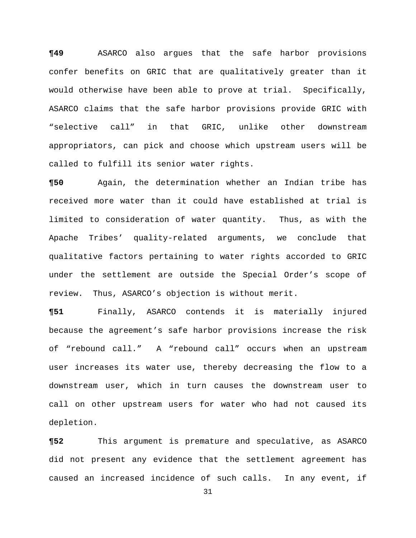**¶49** ASARCO also argues that the safe harbor provisions confer benefits on GRIC that are qualitatively greater than it would otherwise have been able to prove at trial. Specifically, ASARCO claims that the safe harbor provisions provide GRIC with "selective call" in that GRIC, unlike other downstream appropriators, can pick and choose which upstream users will be called to fulfill its senior water rights.

**¶50** Again, the determination whether an Indian tribe has received more water than it could have established at trial is limited to consideration of water quantity. Thus, as with the Apache Tribes' quality-related arguments, we conclude that qualitative factors pertaining to water rights accorded to GRIC under the settlement are outside the Special Order's scope of review. Thus, ASARCO's objection is without merit.

**¶51** Finally, ASARCO contends it is materially injured because the agreement's safe harbor provisions increase the risk of "rebound call." A "rebound call" occurs when an upstream user increases its water use, thereby decreasing the flow to a downstream user, which in turn causes the downstream user to call on other upstream users for water who had not caused its depletion.

**¶52** This argument is premature and speculative, as ASARCO did not present any evidence that the settlement agreement has caused an increased incidence of such calls. In any event, if